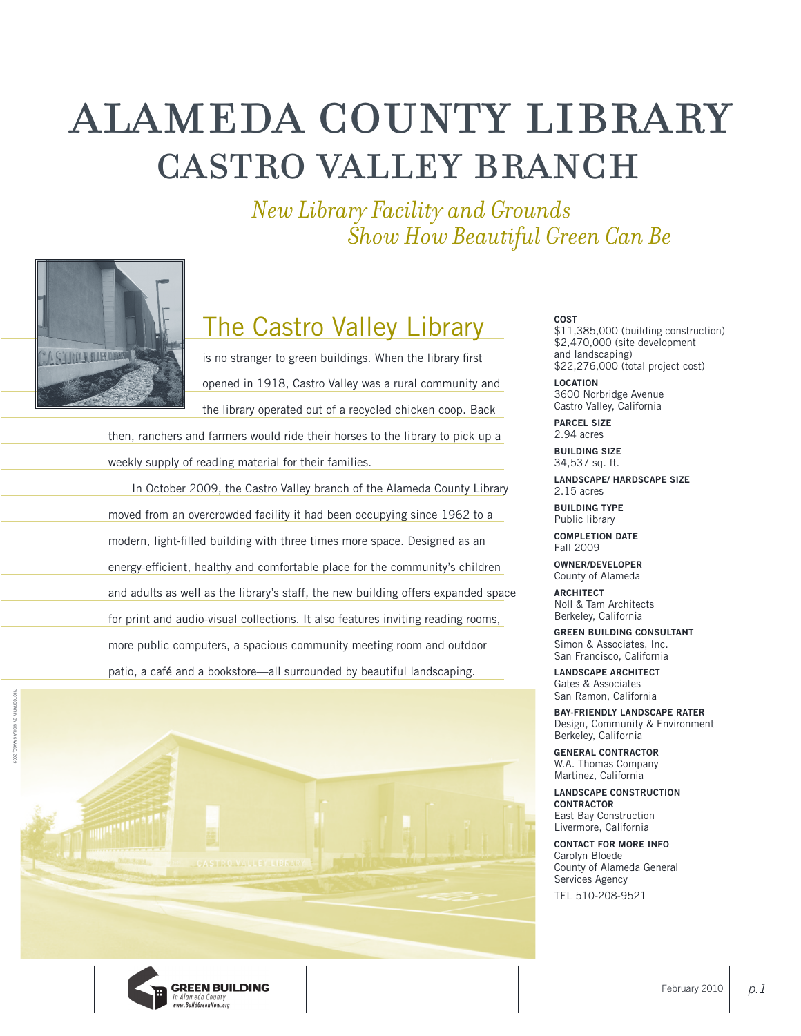# castro valley branch alameda county library

*New Library Facility and Grounds Show How Beautiful Green Can Be*



# The Castro Valley Library

is no stranger to green buildings. When the library first opened in 1918, Castro Valley was a rural community and the library operated out of a recycled chicken coop. Back

then, ranchers and farmers would ride their horses to the library to pick up a weekly supply of reading material for their families.

In October 2009, the Castro Valley branch of the Alameda County Library moved from an overcrowded facility it had been occupying since 1962 to a modern, light-filled building with three times more space. Designed as an energy-efficient, healthy and comfortable place for the community's children and adults as well as the library's staff, the new building offers expanded space for print and audio-visual collections. It also features inviting reading rooms, more public computers, a spacious community meeting room and outdoor patio, a café and a bookstore—all surrounded by beautiful landscaping.



**GREEN BUILDING** in Alameda County<br>www.BuildGreenNow.org

### **COST**

\$11,385,000 (building construction) \$2,470,000 (site development and landscaping) \$22,276,000 (total project cost)

**LOCATION** 3600 Norbridge Avenue Castro Valley, California

**PARCEL SIZE** 2.94 acres

**BUILDING SIZE** 34,537 sq. ft.

**LANDSCAPE/ HARDSCAPE SIZE** 2.15 acres

**BUILDING TYPE** Public library

**COMPLETION DATE** Fall 2009

**OWNER/DEVELOPER** County of Alameda

**ARCHITECT** Noll & Tam Architects Berkeley, California

**GREEN BUILDING CONSULTANT** Simon & Associates, Inc. San Francisco, California

**LANDSCAPE ARCHITECT** Gates & Associates San Ramon, California

**BAY-FRIENDLY LANDSCAPE RATER** Design, Community & Environment Berkeley, California

**GENERAL CONTRACTOR** W.A. Thomas Company Martinez, California

**LANDSCAPE CONSTRUCTION CONTRACTOR** East Bay Construction Livermore, California

**CONTACT FOR MORE INFO** Carolyn Bloede County of Alameda General Services Agency TEL 510-208-9521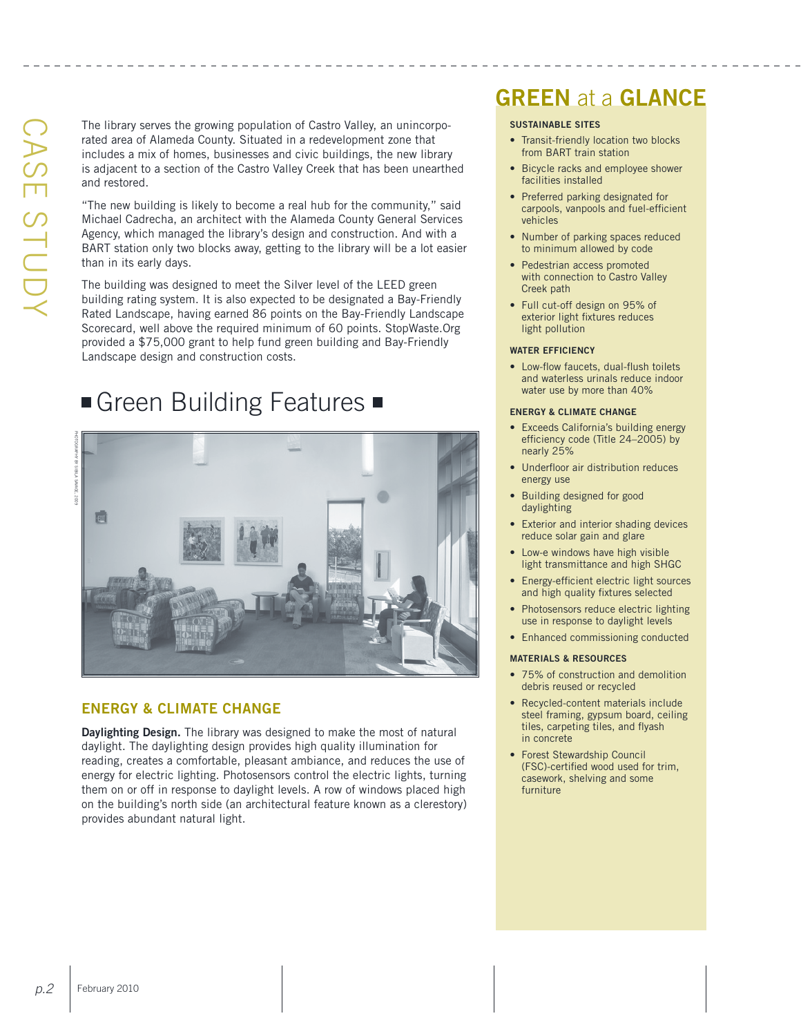The library serves the growing population of Castro Valley, an unincorporated area of Alameda County. Situated in a redevelopment zone that includes a mix of homes, businesses and civic buildings, the new library is adjacent to a section of the Castro Valley Creek that has been unearthed and restored.

"The new building is likely to become a real hub for the community," said Michael Cadrecha, an architect with the Alameda County General Services Agency, which managed the library's design and construction. And with a BART station only two blocks away, getting to the library will be a lot easier than in its early days.

The building was designed to meet the Silver level of the LEED green building rating system. It is also expected to be designated a Bay-Friendly Rated Landscape, having earned 86 points on the Bay-Friendly Landscape Scorecard, well above the required minimum of 60 points. StopWaste.Org provided a \$75,000 grant to help fund green building and Bay-Friendly Landscape design and construction costs.

### Green Building Features

Photography by Sibila savage, 2009



### **Energy & Climate Change**

**Daylighting Design.** The library was designed to make the most of natural daylight. The daylighting design provides high quality illumination for reading, creates a comfortable, pleasant ambiance, and reduces the use of energy for electric lighting. Photosensors control the electric lights, turning them on or off in response to daylight levels. A row of windows placed high on the building's north side (an architectural feature known as a clerestory) provides abundant natural light.

### **GREEN** at a **GLANCE**

### **Sustainable Sites**

- Transit-friendly location two blocks from BART train station
- Bicycle racks and employee shower facilities installed
- Preferred parking designated for carpools, vanpools and fuel-efficient vehicles
- Number of parking spaces reduced to minimum allowed by code
- Pedestrian access promoted with connection to Castro Valley Creek path
- Full cut-off design on 95% of exterior light fixtures reduces light pollution

#### **Water Efficiency**

• Low-flow faucets, dual-flush toilets and waterless urinals reduce indoor water use by more than 40%

#### **Energy & Climate Change**

- Exceeds California's building energy efficiency code (Title 24–2005) by nearly 25%
- Underfloor air distribution reduces energy use
- Building designed for good daylighting
- Exterior and interior shading devices reduce solar gain and glare
- Low-e windows have high visible light transmittance and high SHGC
- Energy-efficient electric light sources and high quality fixtures selected
- Photosensors reduce electric lighting use in response to daylight levels
- Enhanced commissioning conducted

#### **Materials & Resources**

- 75% of construction and demolition debris reused or recycled
- Recycled-content materials include steel framing, gypsum board, ceiling tiles, carpeting tiles, and flyash in concrete
- Forest Stewardship Council (FSC)-certified wood used for trim, casework, shelving and some furniture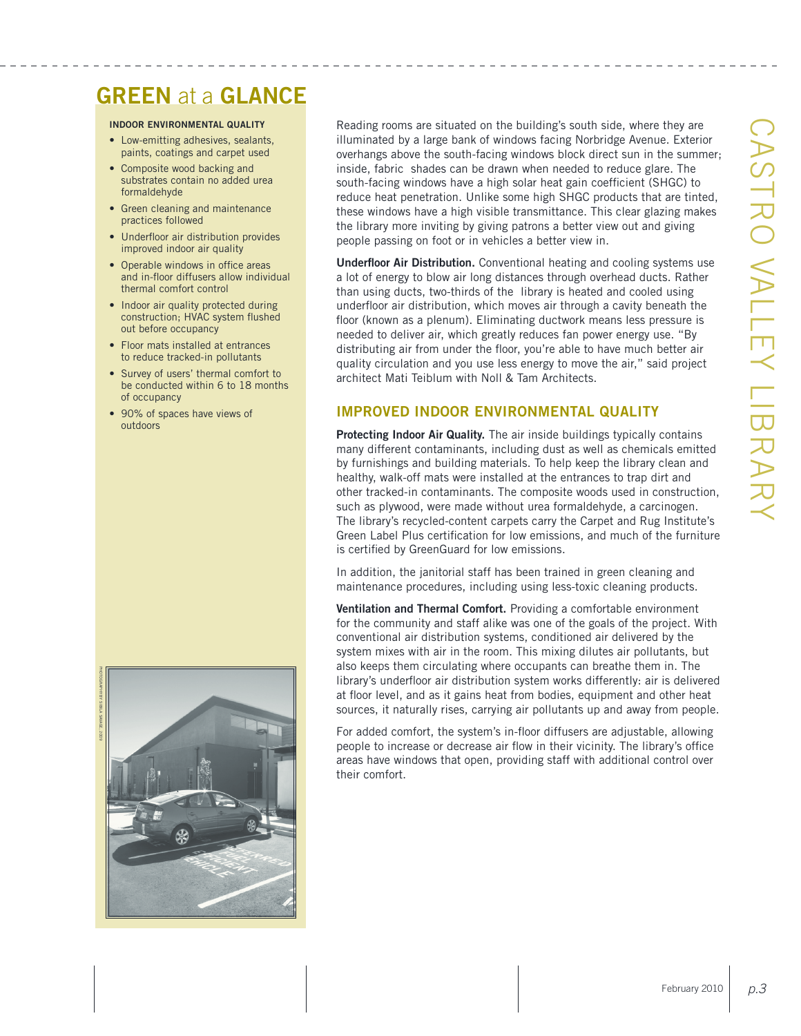### **GREEN** at a **GLANCE**

### **Indoor Environmental Quality**

- Low-emitting adhesives, sealants, paints, coatings and carpet used
- Composite wood backing and substrates contain no added urea formaldehyde
- • Green cleaning and maintenance practices followed
- Underfloor air distribution provides improved indoor air quality
- Operable windows in office areas and in-floor diffusers allow individual thermal comfort control
- Indoor air quality protected during construction; HVAC system flushed out before occupancy
- Floor mats installed at entrances to reduce tracked-in pollutants
- Survey of users' thermal comfort to be conducted within 6 to 18 months of occupancy
- 90% of spaces have views of outdoors



Reading rooms are situated on the building's south side, where they are illuminated by a large bank of windows facing Norbridge Avenue. Exterior overhangs above the south-facing windows block direct sun in the summer; inside, fabric shades can be drawn when needed to reduce glare. The south-facing windows have a high solar heat gain coefficient (S HGC) to reduce heat penetration. Unlike some high S HGC products that are tinted, these windows have a high visible transmittance. This clear glazing makes the library more inviting by giving patrons a better view out and giving people passing on foot or in vehicles a better view in.

**Underfloor Air Distribution.** Conventional heating and cooling systems use a lot of energy to blow air long distances through overhead ducts. Rather than using ducts, two-thirds of the library is heated and cooled using underfloor air distribution, which moves air through a cavity beneath the floor (known as a plenum). Eliminating ductwork means less pressure is needed to deliver air, which greatly reduces fan power energy use. "By distributing air from under the floor, you're able to have much better air quality circulation and you use less energy to move the air," said project architect Mati Teiblum with Noll & Tam Architects.

### **Improved Indoor Environmental Quality**

**Protecting Indoor Air Quality.** The air inside buildings typically contains many different contaminants, including dust as well as chemicals emitted by furnishings and building materials. To help keep the library clean and healthy, walk-off mats were installed at the entrances to trap dirt and other tracked-in contaminants. The composite woods used in construction, such as plywood, were made without urea formaldehyde, a carcinogen. The library's recycled-content carpets carry the Carpet and Rug Institute's Green Label Plus certification for low emissions, and much of the furniture is certified by GreenGuard for low emissions.

In addition, the janitorial staff has been trained in green cleaning and maintenance procedures, including using less-toxic cleaning products.

**Ventilation and Thermal Comfort.** Providing a comfortable environment for the community and staff alike was one of the goals of the project. With conventional air distribution systems, conditioned air delivered by the system mixes with air in the room. This mixing dilutes air pollutants, but also keeps them circulating where occupants can breathe them in. The library's underfloor air distribution system works differently: air is delivered at floor level, and as it gains heat from bodies, equipment and other heat sources, it naturally rises, carrying air pollutants up and away from people.

For added comfort, the system's in-floor diffusers are adjustable, allowing people to increase or decrease air flow in their vicinity. The library's office areas have windows that open, providing staff with additional control over their comfort.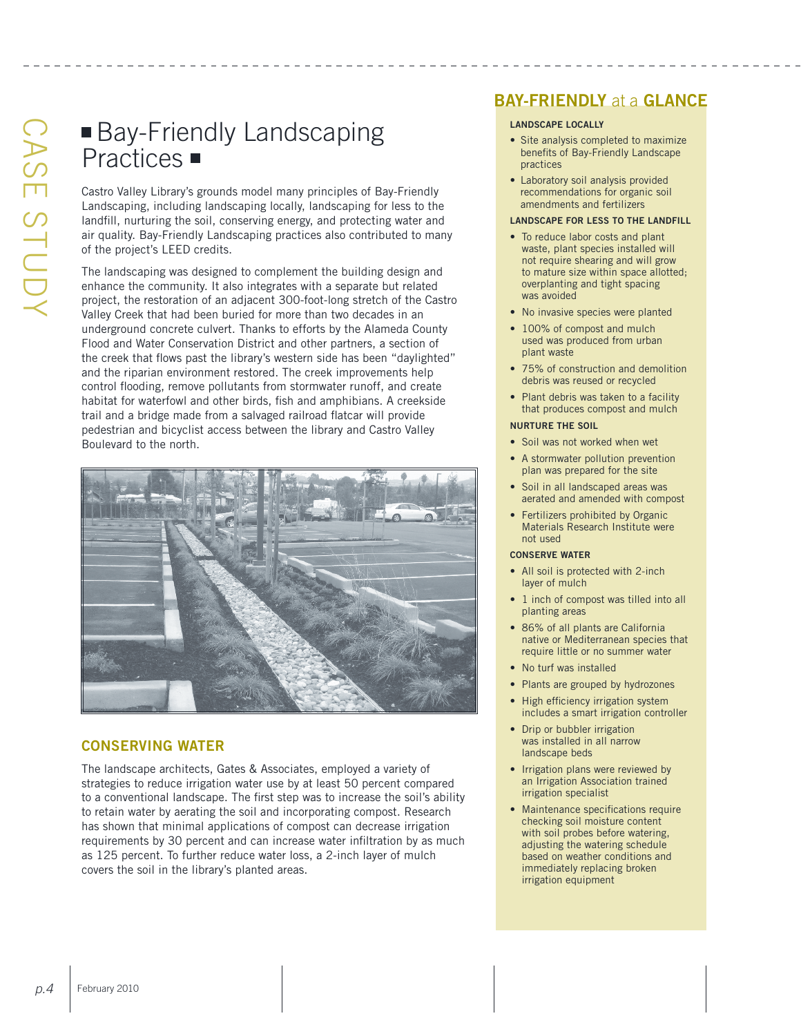## Bay-Friendly Landscaping Practices  $\blacksquare$

Castro Valley Library's grounds model many principles of Bay-Friendly Landscaping, including landscaping locally, landscaping for less to the landfill, nurturing the soil, conserving energy, and protecting water and air quality. Bay-Friendly Landscaping practices also contributed to many of the project's LEED credits.

The landscaping was designed to complement the building design and enhance the community. It also integrates with a separate but related project, the restoration of an adjacent 300-foot-long stretch of the Castro Valley Creek that had been buried for more than two decades in an underground concrete culvert. Thanks to efforts by the Alameda County Flood and Water Conservation District and other partners, a section of the creek that flows past the library's western side has been "daylighted" and the riparian environment restored. The creek improvements help control flooding, remove pollutants from stormwater runoff, and create habitat for waterfowl and other birds, fish and amphibians. A creekside trail and a bridge made from a salvaged railroad flatcar will provide pedestrian and bicyclist access between the library and Castro Valley Boulevard to the north.



### **Conserving Water**

The landscape architects, Gates & Associates, employed a variety of strategies to reduce irrigation water use by at least 50 percent compared to a conventional landscape. The first step was to increase the soil's ability to retain water by aerating the soil and incorporating compost. Research has shown that minimal applications of compost can decrease irrigation requirements by 30 percent and can increase water infiltration by as much as 125 percent. To further reduce water loss, a 2-inch layer of mulch covers the soil in the library's planted areas.

### **BAY-FRIENDLY** at a **GLANCE**

### **Landscape Locally**

- Site analysis completed to maximize benefits of Bay-Friendly Landscape practices
- Laboratory soil analysis provided recommendations for organic soil amendments and fertilizers

### **Landscape for Less to the Landfill**

- To reduce labor costs and plant waste, plant species installed will not require shearing and will grow to mature size within space allotted; overplanting and tight spacing was avoided
- No invasive species were planted
- 100% of compost and mulch used was produced from urban plant waste
- 75% of construction and demolition debris was reused or recycled
- Plant debris was taken to a facility that produces compost and mulch

### **Nurture the Soil**

- Soil was not worked when wet
- A stormwater pollution prevention plan was prepared for the site
- Soil in all landscaped areas was aerated and amended with compost
- Fertilizers prohibited by Organic Materials Research Institute were not used

### **Conserve Water**

- All soil is protected with 2-inch layer of mulch
- 1 inch of compost was tilled into all planting areas
- 86% of all plants are California native or Mediterranean species that require little or no summer water
- No turf was installed
- Plants are grouped by hydrozones
- High efficiency irrigation system includes a smart irrigation controller
- Drip or bubbler irrigation was installed in all narrow landscape beds
- Irrigation plans were reviewed by an Irrigation Association trained irrigation specialist
- Maintenance specifications require checking soil moisture content with soil probes before watering, adjusting the watering schedule based on weather conditions and immediately replacing broken irrigation equipment